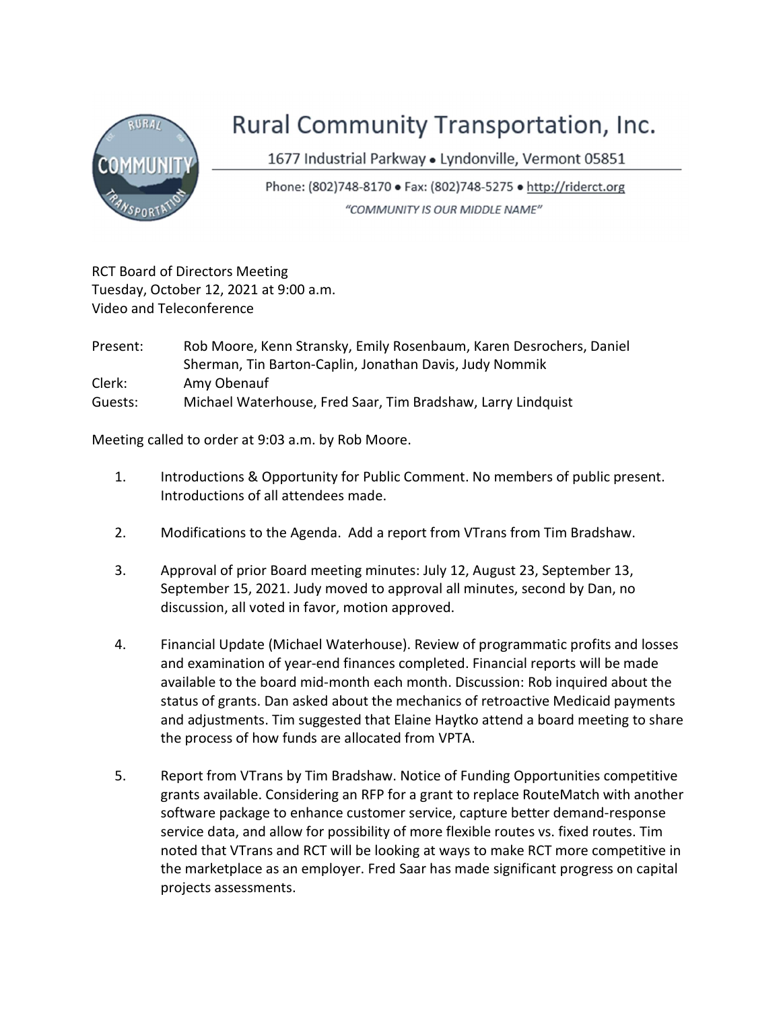

## Rural Community Transportation, Inc.

1677 Industrial Parkway · Lyndonville, Vermont 05851

Phone: (802)748-8170 · Fax: (802)748-5275 · http://riderct.org "COMMUNITY IS OUR MIDDLE NAME"

RCT Board of Directors Meeting Tuesday, October 12, 2021 at 9:00 a.m. Video and Teleconference

| Present: | Rob Moore, Kenn Stransky, Emily Rosenbaum, Karen Desrochers, Daniel |
|----------|---------------------------------------------------------------------|
|          | Sherman, Tin Barton-Caplin, Jonathan Davis, Judy Nommik             |
| Clerk:   | Amy Obenauf                                                         |
| Guests:  | Michael Waterhouse, Fred Saar, Tim Bradshaw, Larry Lindquist        |

Meeting called to order at 9:03 a.m. by Rob Moore.

- 1. Introductions & Opportunity for Public Comment. No members of public present. Introductions of all attendees made.
- 2. Modifications to the Agenda. Add a report from VTrans from Tim Bradshaw.
- 3. Approval of prior Board meeting minutes: July 12, August 23, September 13, September 15, 2021. Judy moved to approval all minutes, second by Dan, no discussion, all voted in favor, motion approved.
- 4. Financial Update (Michael Waterhouse). Review of programmatic profits and losses and examination of year-end finances completed. Financial reports will be made available to the board mid-month each month. Discussion: Rob inquired about the status of grants. Dan asked about the mechanics of retroactive Medicaid payments and adjustments. Tim suggested that Elaine Haytko attend a board meeting to share the process of how funds are allocated from VPTA.
- 5. Report from VTrans by Tim Bradshaw. Notice of Funding Opportunities competitive grants available. Considering an RFP for a grant to replace RouteMatch with another software package to enhance customer service, capture better demand-response service data, and allow for possibility of more flexible routes vs. fixed routes. Tim noted that VTrans and RCT will be looking at ways to make RCT more competitive in the marketplace as an employer. Fred Saar has made significant progress on capital projects assessments.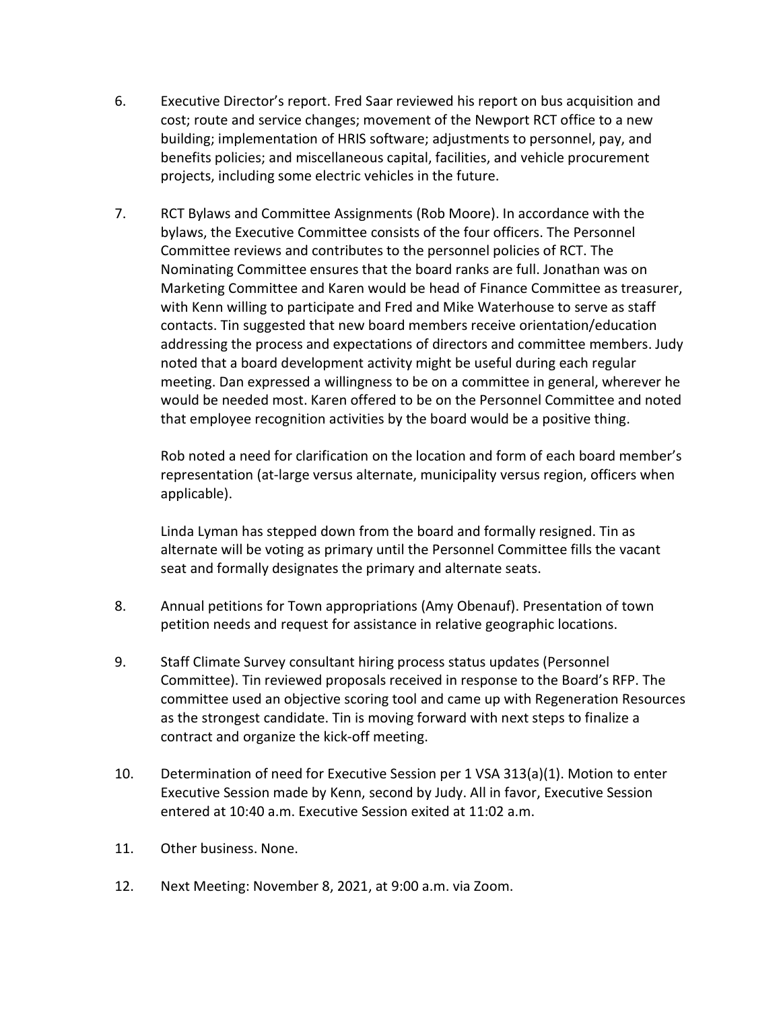- 6. Executive Director's report. Fred Saar reviewed his report on bus acquisition and cost; route and service changes; movement of the Newport RCT office to a new building; implementation of HRIS software; adjustments to personnel, pay, and benefits policies; and miscellaneous capital, facilities, and vehicle procurement projects, including some electric vehicles in the future.
- 7. RCT Bylaws and Committee Assignments (Rob Moore). In accordance with the bylaws, the Executive Committee consists of the four officers. The Personnel Committee reviews and contributes to the personnel policies of RCT. The Nominating Committee ensures that the board ranks are full. Jonathan was on Marketing Committee and Karen would be head of Finance Committee as treasurer, with Kenn willing to participate and Fred and Mike Waterhouse to serve as staff contacts. Tin suggested that new board members receive orientation/education addressing the process and expectations of directors and committee members. Judy noted that a board development activity might be useful during each regular meeting. Dan expressed a willingness to be on a committee in general, wherever he would be needed most. Karen offered to be on the Personnel Committee and noted that employee recognition activities by the board would be a positive thing.

Rob noted a need for clarification on the location and form of each board member's representation (at-large versus alternate, municipality versus region, officers when applicable).

Linda Lyman has stepped down from the board and formally resigned. Tin as alternate will be voting as primary until the Personnel Committee fills the vacant seat and formally designates the primary and alternate seats.

- 8. Annual petitions for Town appropriations (Amy Obenauf). Presentation of town petition needs and request for assistance in relative geographic locations.
- 9. Staff Climate Survey consultant hiring process status updates (Personnel Committee). Tin reviewed proposals received in response to the Board's RFP. The committee used an objective scoring tool and came up with Regeneration Resources as the strongest candidate. Tin is moving forward with next steps to finalize a contract and organize the kick-off meeting.
- 10. Determination of need for Executive Session per 1 VSA 313(a)(1). Motion to enter Executive Session made by Kenn, second by Judy. All in favor, Executive Session entered at 10:40 a.m. Executive Session exited at 11:02 a.m.
- 11. Other business. None.
- 12. Next Meeting: November 8, 2021, at 9:00 a.m. via Zoom.